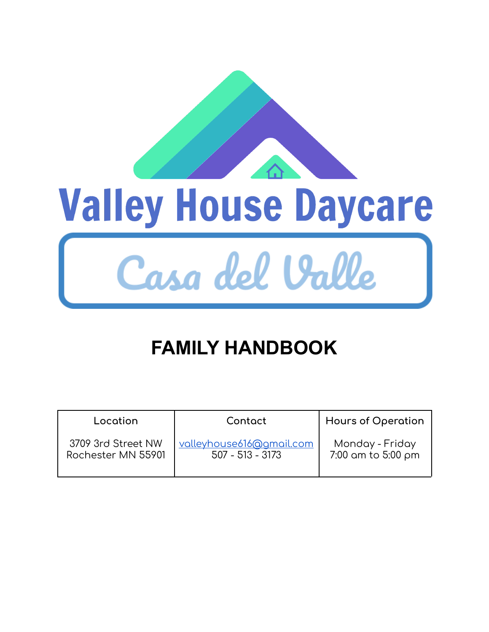

# **FAMILY HANDBOOK**

| Location           | Contact                  | <b>Hours of Operation</b> |
|--------------------|--------------------------|---------------------------|
| 3709 3rd Street NW | valleyhouse616@gmail.com | Monday - Friday           |
| Rochester MN 55901 | $507 - 513 - 3173$       | 7:00 am to 5:00 pm        |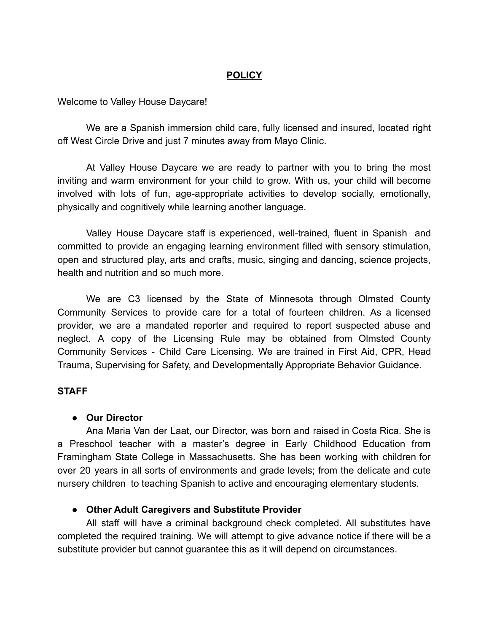## **POLICY**

Welcome to Valley House Daycare!

We are a Spanish immersion child care, fully licensed and insured, located right off West Circle Drive and just 7 minutes away from Mayo Clinic.

At Valley House Daycare we are ready to partner with you to bring the most inviting and warm environment for your child to grow. With us, your child will become involved with lots of fun, age-appropriate activities to develop socially, emotionally, physically and cognitively while learning another language.

Valley House Daycare staff is experienced, well-trained, fluent in Spanish and committed to provide an engaging learning environment filled with sensory stimulation, open and structured play, arts and crafts, music, singing and dancing, science projects, health and nutrition and so much more.

We are C3 licensed by the State of Minnesota through Olmsted County Community Services to provide care for a total of fourteen children. As a licensed provider, we are a mandated reporter and required to report suspected abuse and neglect. A copy of the Licensing Rule may be obtained from Olmsted County Community Services - Child Care Licensing. We are trained in First Aid, CPR, Head Trauma, Supervising for Safety, and Developmentally Appropriate Behavior Guidance.

## **STAFF**

### **● Our Director**

Ana Maria Van der Laat, our Director, was born and raised in Costa Rica. She is a Preschool teacher with a master's degree in Early Childhood Education from Framingham State College in Massachusetts. She has been working with children for over 20 years in all sorts of environments and grade levels; from the delicate and cute nursery children to teaching Spanish to active and encouraging elementary students.

## **● Other Adult Caregivers and Substitute Provider**

All staff will have a criminal background check completed. All substitutes have completed the required training. We will attempt to give advance notice if there will be a substitute provider but cannot guarantee this as it will depend on circumstances.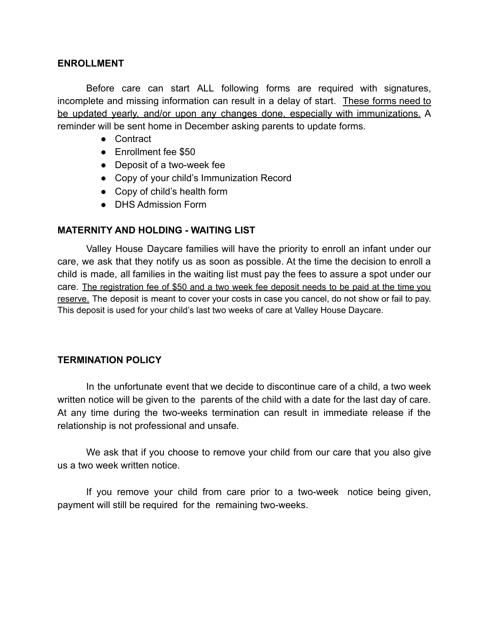#### **ENROLLMENT**

Before care can start ALL following forms are required with signatures, incomplete and missing information can result in a delay of start. These forms need to be updated yearly, and/or upon any changes done, especially with immunizations. A reminder will be sent home in December asking parents to update forms.

- Contract
- Enrollment fee \$50
- Deposit of a two-week fee
- Copy of your child's Immunization Record
- Copy of child's health form
- DHS Admission Form

## **MATERNITY AND HOLDING - WAITING LIST**

Valley House Daycare families will have the priority to enroll an infant under our care, we ask that they notify us as soon as possible. At the time the decision to enroll a child is made, all families in the waiting list must pay the fees to assure a spot under our care. The registration fee of \$50 and a two week fee deposit needs to be paid at the time you reserve. The deposit is meant to cover your costs in case you cancel, do not show or fail to pay. This deposit is used for your child's last two weeks of care at Valley House Daycare.

### **TERMINATION POLICY**

In the unfortunate event that we decide to discontinue care of a child, a two week written notice will be given to the parents of the child with a date for the last day of care. At any time during the two-weeks termination can result in immediate release if the relationship is not professional and unsafe.

We ask that if you choose to remove your child from our care that you also give us a two week written notice.

If you remove your child from care prior to a two-week notice being given, payment will still be required for the remaining two-weeks.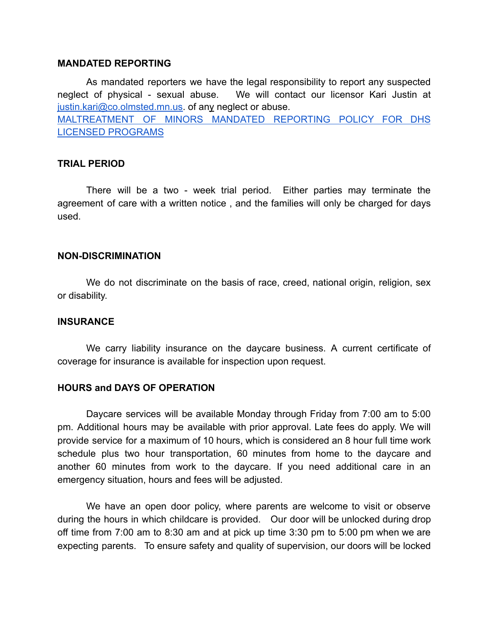#### **MANDATED REPORTING**

As mandated reporters we have the legal responsibility to report any suspected neglect of physical - sexual abuse. We will contact our licensor Kari Justin at justin.kari@co.olmsted.mn.us. of any neglect or abuse. MALTREATMENT OF MINORS MANDATED REPORTING POLICY FOR DHS LICENSED PROGRAMS

#### **TRIAL PERIOD**

There will be a two - week trial period. Either parties may terminate the agreement of care with a written notice , and the families will only be charged for days used.

#### **NON-DISCRIMINATION**

We do not discriminate on the basis of race, creed, national origin, religion, sex or disability.

#### **INSURANCE**

We carry liability insurance on the daycare business. A current certificate of coverage for insurance is available for inspection upon request.

#### **HOURS and DAYS OF OPERATION**

Daycare services will be available Monday through Friday from 7:00 am to 5:00 pm. Additional hours may be available with prior approval. Late fees do apply. We will provide service for a maximum of 10 hours, which is considered an 8 hour full time work schedule plus two hour transportation, 60 minutes from home to the daycare and another 60 minutes from work to the daycare. If you need additional care in an emergency situation, hours and fees will be adjusted.

We have an open door policy, where parents are welcome to visit or observe during the hours in which childcare is provided. Our door will be unlocked during drop off time from 7:00 am to 8:30 am and at pick up time 3:30 pm to 5:00 pm when we are expecting parents. To ensure safety and quality of supervision, our doors will be locked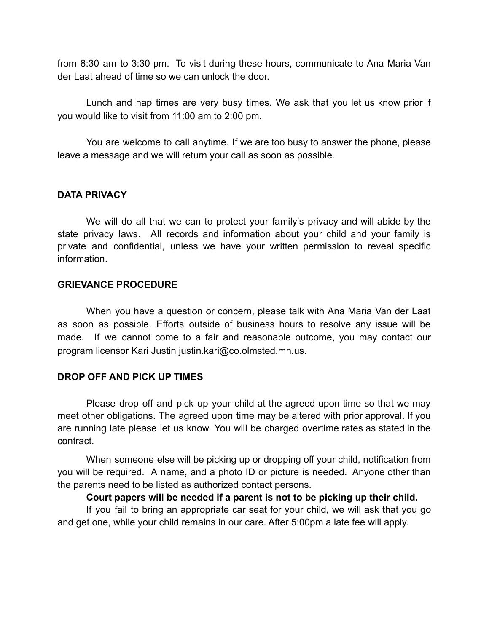from 8:30 am to 3:30 pm. To visit during these hours, communicate to Ana Maria Van der Laat ahead of time so we can unlock the door.

Lunch and nap times are very busy times. We ask that you let us know prior if you would like to visit from 11:00 am to 2:00 pm.

You are welcome to call anytime. If we are too busy to answer the phone, please leave a message and we will return your call as soon as possible.

### **DATA PRIVACY**

We will do all that we can to protect your family's privacy and will abide by the state privacy laws. All records and information about your child and your family is private and confidential, unless we have your written permission to reveal specific information.

#### **GRIEVANCE PROCEDURE**

When you have a question or concern, please talk with Ana Maria Van der Laat as soon as possible. Efforts outside of business hours to resolve any issue will be made. If we cannot come to a fair and reasonable outcome, you may contact our program licensor Kari Justin justin.kari@co.olmsted.mn.us.

### **DROP OFF AND PICK UP TIMES**

Please drop off and pick up your child at the agreed upon time so that we may meet other obligations. The agreed upon time may be altered with prior approval. If you are running late please let us know. You will be charged overtime rates as stated in the contract.

When someone else will be picking up or dropping off your child, notification from you will be required. A name, and a photo ID or picture is needed. Anyone other than the parents need to be listed as authorized contact persons.

#### **Court papers will be needed if a parent is not to be picking up their child.**

If you fail to bring an appropriate car seat for your child, we will ask that you go and get one, while your child remains in our care. After 5:00pm a late fee will apply.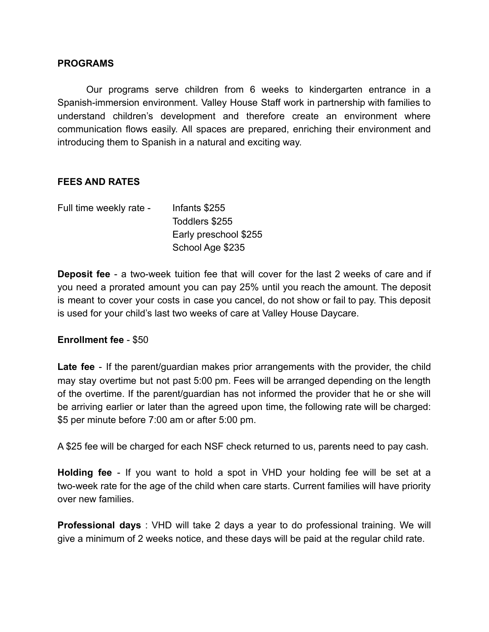#### **PROGRAMS**

Our programs serve children from 6 weeks to kindergarten entrance in a Spanish-immersion environment. Valley House Staff work in partnership with families to understand children's development and therefore create an environment where communication flows easily. All spaces are prepared, enriching their environment and introducing them to Spanish in a natural and exciting way.

## **FEES AND RATES**

| Full time weekly rate - | Infants \$255         |
|-------------------------|-----------------------|
|                         | Toddlers \$255        |
|                         | Early preschool \$255 |
|                         | School Age \$235      |

**Deposit fee** - a two-week tuition fee that will cover for the last 2 weeks of care and if you need a prorated amount you can pay 25% until you reach the amount. The deposit is meant to cover your costs in case you cancel, do not show or fail to pay. This deposit is used for your child's last two weeks of care at Valley House Daycare.

### **Enrollment fee** - \$50

**Late fee** - If the parent/guardian makes prior arrangements with the provider, the child may stay overtime but not past 5:00 pm. Fees will be arranged depending on the length of the overtime. If the parent/guardian has not informed the provider that he or she will be arriving earlier or later than the agreed upon time, the following rate will be charged: \$5 per minute before 7:00 am or after 5:00 pm.

A \$25 fee will be charged for each NSF check returned to us, parents need to pay cash.

**Holding fee** - If you want to hold a spot in VHD your holding fee will be set at a two-week rate for the age of the child when care starts. Current families will have priority over new families.

**Professional days** : VHD will take 2 days a year to do professional training. We will give a minimum of 2 weeks notice, and these days will be paid at the regular child rate.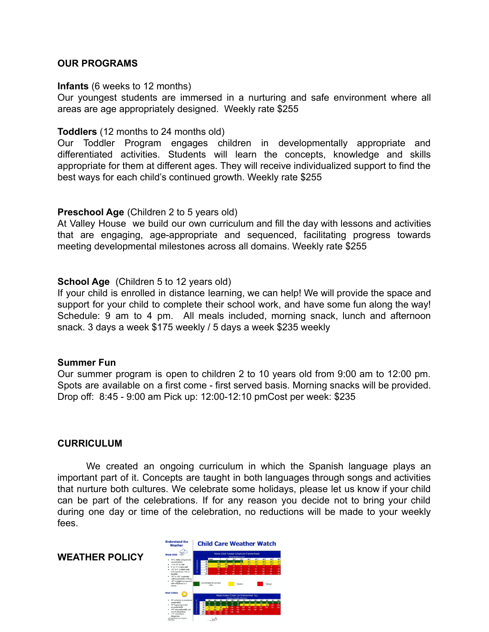#### **OUR PROGRAMS**

#### **Infants** (6 weeks to 12 months)

Our youngest students are immersed in a nurturing and safe environment where all areas are age appropriately designed. Weekly rate \$255

#### **Toddlers** (12 months to 24 months old)

Our Toddler Program engages children in developmentally appropriate and differentiated activities. Students will learn the concepts, knowledge and skills appropriate for them at different ages. They will receive individualized support to find the best ways for each child's continued growth. Weekly rate \$255

#### **Preschool Age** (Children 2 to 5 years old)

At Valley House we build our own curriculum and fill the day with lessons and activities that are engaging, age-appropriate and sequenced, facilitating progress towards meeting developmental milestones across all domains. Weekly rate \$255

#### **School Age** (Children 5 to 12 years old)

If your child is enrolled in distance learning, we can help! We will provide the space and support for your child to complete their school work, and have some fun along the way! Schedule: 9 am to 4 pm. All meals included, morning snack, lunch and afternoon snack. 3 days a week \$175 weekly / 5 days a week \$235 weekly

#### **Summer Fun**

Our summer program is open to children 2 to 10 years old from 9:00 am to 12:00 pm. Spots are available on a first come - first served basis. Morning snacks will be provided. Drop off: 8:45 - 9:00 am Pick up: 12:00-12:10 pmCost per week: \$235

#### **CURRICULUM**

We created an ongoing curriculum in which the Spanish language plays an important part of it. Concepts are taught in both languages through songs and activities that nurture both cultures. We celebrate some holidays, please let us know if your child can be part of the celebrations. If for any reason you decide not to bring your child during one day or time of the celebration, no reductions will be made to your weekly fees.

**WEATHER POLICY**

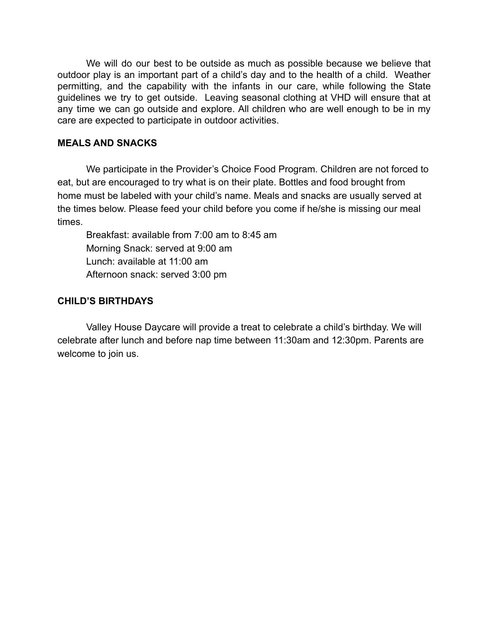We will do our best to be outside as much as possible because we believe that outdoor play is an important part of a child's day and to the health of a child. Weather permitting, and the capability with the infants in our care, while following the State guidelines we try to get outside. Leaving seasonal clothing at VHD will ensure that at any time we can go outside and explore. All children who are well enough to be in my care are expected to participate in outdoor activities.

#### **MEALS AND SNACKS**

We participate in the Provider's Choice Food Program. Children are not forced to eat, but are encouraged to try what is on their plate. Bottles and food brought from home must be labeled with your child's name. Meals and snacks are usually served at the times below. Please feed your child before you come if he/she is missing our meal times.

Breakfast: available from 7:00 am to 8:45 am Morning Snack: served at 9:00 am Lunch: available at 11:00 am Afternoon snack: served 3:00 pm

### **CHILD'S BIRTHDAYS**

Valley House Daycare will provide a treat to celebrate a child's birthday. We will celebrate after lunch and before nap time between 11:30am and 12:30pm. Parents are welcome to join us.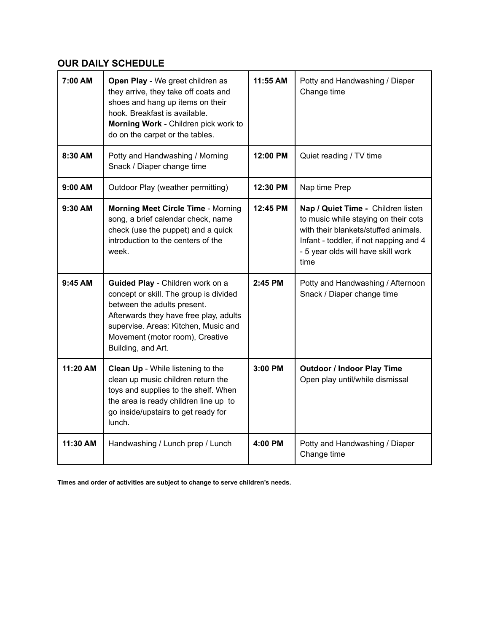## **OUR DAILY SCHEDULE**

| 7:00 AM   | Open Play - We greet children as<br>they arrive, they take off coats and<br>shoes and hang up items on their<br>hook. Breakfast is available.<br>Morning Work - Children pick work to<br>do on the carpet or the tables.                             | 11:55 AM  | Potty and Handwashing / Diaper<br>Change time                                                                                                                                                              |
|-----------|------------------------------------------------------------------------------------------------------------------------------------------------------------------------------------------------------------------------------------------------------|-----------|------------------------------------------------------------------------------------------------------------------------------------------------------------------------------------------------------------|
| 8:30 AM   | Potty and Handwashing / Morning<br>Snack / Diaper change time                                                                                                                                                                                        | 12:00 PM  | Quiet reading / TV time                                                                                                                                                                                    |
| 9:00 AM   | Outdoor Play (weather permitting)                                                                                                                                                                                                                    | 12:30 PM  | Nap time Prep                                                                                                                                                                                              |
| $9:30$ AM | <b>Morning Meet Circle Time - Morning</b><br>song, a brief calendar check, name<br>check (use the puppet) and a quick<br>introduction to the centers of the<br>week.                                                                                 | 12:45 PM  | Nap / Quiet Time - Children listen<br>to music while staying on their cots<br>with their blankets/stuffed animals.<br>Infant - toddler, if not napping and 4<br>- 5 year olds will have skill work<br>time |
| 9:45 AM   | Guided Play - Children work on a<br>concept or skill. The group is divided<br>between the adults present.<br>Afterwards they have free play, adults<br>supervise. Areas: Kitchen, Music and<br>Movement (motor room), Creative<br>Building, and Art. | $2:45$ PM | Potty and Handwashing / Afternoon<br>Snack / Diaper change time                                                                                                                                            |
| 11:20 AM  | <b>Clean Up</b> - While listening to the<br>clean up music children return the<br>toys and supplies to the shelf. When<br>the area is ready children line up to<br>go inside/upstairs to get ready for<br>lunch.                                     | 3:00 PM   | <b>Outdoor / Indoor Play Time</b><br>Open play until/while dismissal                                                                                                                                       |
| 11:30 AM  | Handwashing / Lunch prep / Lunch                                                                                                                                                                                                                     | 4:00 PM   | Potty and Handwashing / Diaper<br>Change time                                                                                                                                                              |

**Times and order of activities are subject to change to serve children's needs.**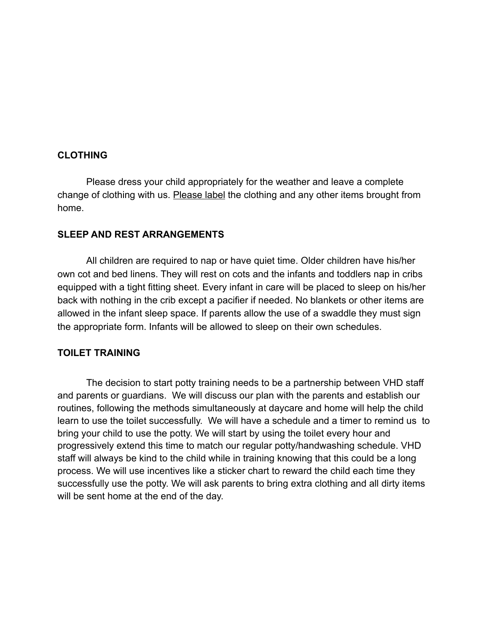#### **CLOTHING**

Please dress your child appropriately for the weather and leave a complete change of clothing with us. Please label the clothing and any other items brought from home.

#### **SLEEP AND REST ARRANGEMENTS**

All children are required to nap or have quiet time. Older children have his/her own cot and bed linens. They will rest on cots and the infants and toddlers nap in cribs equipped with a tight fitting sheet. Every infant in care will be placed to sleep on his/her back with nothing in the crib except a pacifier if needed. No blankets or other items are allowed in the infant sleep space. If parents allow the use of a swaddle they must sign the appropriate form. Infants will be allowed to sleep on their own schedules.

#### **TOILET TRAINING**

The decision to start potty training needs to be a partnership between VHD staff and parents or guardians. We will discuss our plan with the parents and establish our routines, following the methods simultaneously at daycare and home will help the child learn to use the toilet successfully. We will have a schedule and a timer to remind us to bring your child to use the potty. We will start by using the toilet every hour and progressively extend this time to match our regular potty/handwashing schedule. VHD staff will always be kind to the child while in training knowing that this could be a long process. We will use incentives like a sticker chart to reward the child each time they successfully use the potty. We will ask parents to bring extra clothing and all dirty items will be sent home at the end of the day.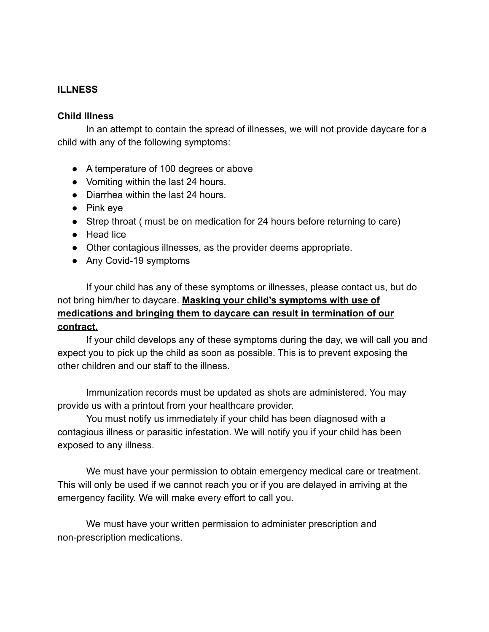## **ILLNESS**

#### **Child Illness**

In an attempt to contain the spread of illnesses, we will not provide daycare for a child with any of the following symptoms:

- A temperature of 100 degrees or above
- Vomiting within the last 24 hours.
- Diarrhea within the last 24 hours.
- Pink eye
- Strep throat ( must be on medication for 24 hours before returning to care)
- Head lice
- Other contagious illnesses, as the provider deems appropriate.
- Any Covid-19 symptoms

If your child has any of these symptoms or illnesses, please contact us, but do not bring him/her to daycare. **Masking your child's symptoms with use of medications and bringing them to daycare can result in termination of our contract.**

If your child develops any of these symptoms during the day, we will call you and expect you to pick up the child as soon as possible. This is to prevent exposing the other children and our staff to the illness.

Immunization records must be updated as shots are administered. You may provide us with a printout from your healthcare provider.

You must notify us immediately if your child has been diagnosed with a contagious illness or parasitic infestation. We will notify you if your child has been exposed to any illness.

We must have your permission to obtain emergency medical care or treatment. This will only be used if we cannot reach you or if you are delayed in arriving at the emergency facility. We will make every effort to call you.

We must have your written permission to administer prescription and non-prescription medications.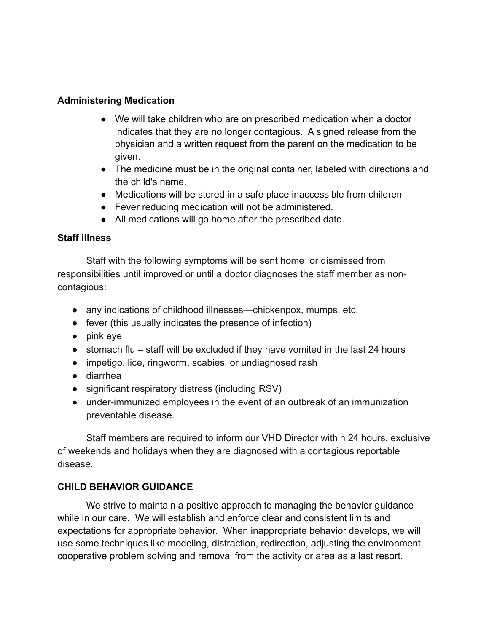## **Administering Medication**

- We will take children who are on prescribed medication when a doctor indicates that they are no longer contagious. A signed release from the physician and a written request from the parent on the medication to be given.
- The medicine must be in the original container, labeled with directions and the child's name.
- Medications will be stored in a safe place inaccessible from children
- Fever reducing medication will not be administered.
- All medications will go home after the prescribed date.

## **Staff illness**

Staff with the following symptoms will be sent home or dismissed from responsibilities until improved or until a doctor diagnoses the staff member as noncontagious:

- any indications of childhood illnesses—chickenpox, mumps, etc.
- fever (this usually indicates the presence of infection)
- pink eye
- stomach flu staff will be excluded if they have vomited in the last 24 hours
- impetigo, lice, ringworm, scabies, or undiagnosed rash
- diarrhea
- significant respiratory distress (including RSV)
- under-immunized employees in the event of an outbreak of an immunization preventable disease.

Staff members are required to inform our VHD Director within 24 hours, exclusive of weekends and holidays when they are diagnosed with a contagious reportable disease.

## **CHILD BEHAVIOR GUIDANCE**

We strive to maintain a positive approach to managing the behavior guidance while in our care. We will establish and enforce clear and consistent limits and expectations for appropriate behavior. When inappropriate behavior develops, we will use some techniques like modeling, distraction, redirection, adjusting the environment, cooperative problem solving and removal from the activity or area as a last resort.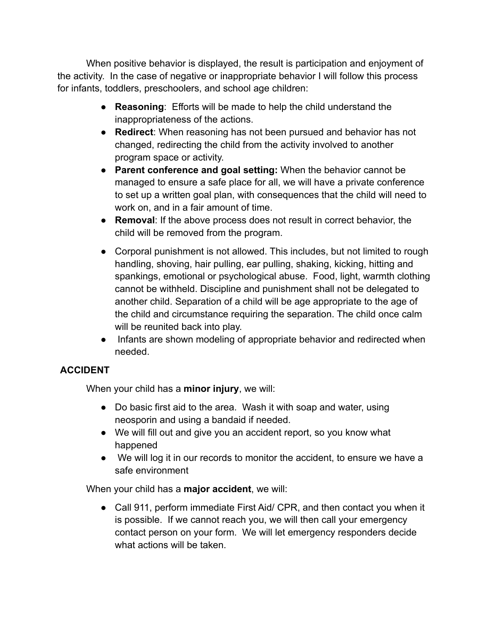When positive behavior is displayed, the result is participation and enjoyment of the activity. In the case of negative or inappropriate behavior I will follow this process for infants, toddlers, preschoolers, and school age children:

- **Reasoning**: Efforts will be made to help the child understand the inappropriateness of the actions.
- **Redirect**: When reasoning has not been pursued and behavior has not changed, redirecting the child from the activity involved to another program space or activity.
- **Parent conference and goal setting:** When the behavior cannot be managed to ensure a safe place for all, we will have a private conference to set up a written goal plan, with consequences that the child will need to work on, and in a fair amount of time.
- **Removal**: If the above process does not result in correct behavior, the child will be removed from the program.
- Corporal punishment is not allowed. This includes, but not limited to rough handling, shoving, hair pulling, ear pulling, shaking, kicking, hitting and spankings, emotional or psychological abuse. Food, light, warmth clothing cannot be withheld. Discipline and punishment shall not be delegated to another child. Separation of a child will be age appropriate to the age of the child and circumstance requiring the separation. The child once calm will be reunited back into play.
- Infants are shown modeling of appropriate behavior and redirected when needed.

# **ACCIDENT**

When your child has a **minor injury**, we will:

- Do basic first aid to the area. Wash it with soap and water, using neosporin and using a bandaid if needed.
- We will fill out and give you an accident report, so you know what happened
- We will log it in our records to monitor the accident, to ensure we have a safe environment

When your child has a **major accident**, we will:

● Call 911, perform immediate First Aid/ CPR, and then contact you when it is possible. If we cannot reach you, we will then call your emergency contact person on your form. We will let emergency responders decide what actions will be taken.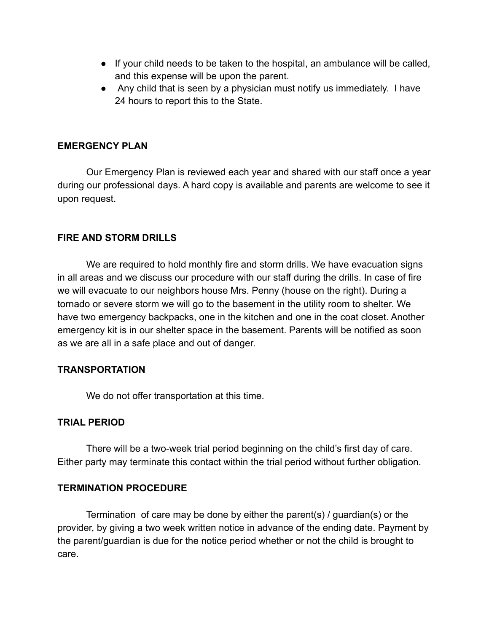- If your child needs to be taken to the hospital, an ambulance will be called, and this expense will be upon the parent.
- Any child that is seen by a physician must notify us immediately. I have 24 hours to report this to the State.

### **EMERGENCY PLAN**

Our Emergency Plan is reviewed each year and shared with our staff once a year during our professional days. A hard copy is available and parents are welcome to see it upon request.

## **FIRE AND STORM DRILLS**

We are required to hold monthly fire and storm drills. We have evacuation signs in all areas and we discuss our procedure with our staff during the drills. In case of fire we will evacuate to our neighbors house Mrs. Penny (house on the right). During a tornado or severe storm we will go to the basement in the utility room to shelter. We have two emergency backpacks, one in the kitchen and one in the coat closet. Another emergency kit is in our shelter space in the basement. Parents will be notified as soon as we are all in a safe place and out of danger.

### **TRANSPORTATION**

We do not offer transportation at this time.

### **TRIAL PERIOD**

There will be a two-week trial period beginning on the child's first day of care. Either party may terminate this contact within the trial period without further obligation.

## **TERMINATION PROCEDURE**

Termination of care may be done by either the parent(s) / guardian(s) or the provider, by giving a two week written notice in advance of the ending date. Payment by the parent/guardian is due for the notice period whether or not the child is brought to care.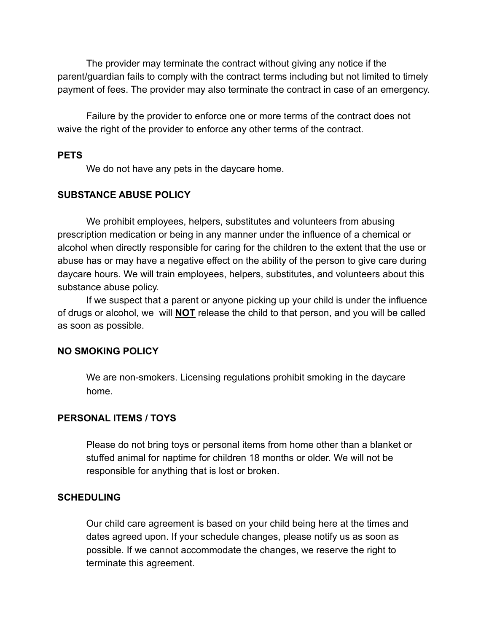The provider may terminate the contract without giving any notice if the parent/guardian fails to comply with the contract terms including but not limited to timely payment of fees. The provider may also terminate the contract in case of an emergency.

Failure by the provider to enforce one or more terms of the contract does not waive the right of the provider to enforce any other terms of the contract.

### **PETS**

We do not have any pets in the daycare home.

## **SUBSTANCE ABUSE POLICY**

We prohibit employees, helpers, substitutes and volunteers from abusing prescription medication or being in any manner under the influence of a chemical or alcohol when directly responsible for caring for the children to the extent that the use or abuse has or may have a negative effect on the ability of the person to give care during daycare hours. We will train employees, helpers, substitutes, and volunteers about this substance abuse policy.

If we suspect that a parent or anyone picking up your child is under the influence of drugs or alcohol, we will **NOT** release the child to that person, and you will be called as soon as possible.

### **NO SMOKING POLICY**

We are non-smokers. Licensing regulations prohibit smoking in the daycare home.

## **PERSONAL ITEMS / TOYS**

Please do not bring toys or personal items from home other than a blanket or stuffed animal for naptime for children 18 months or older. We will not be responsible for anything that is lost or broken.

## **SCHEDULING**

Our child care agreement is based on your child being here at the times and dates agreed upon. If your schedule changes, please notify us as soon as possible. If we cannot accommodate the changes, we reserve the right to terminate this agreement.